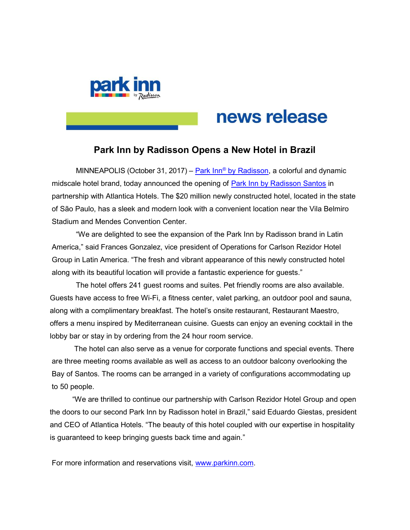

# news release

# Park Inn by Radisson Opens a New Hotel in Brazil

MINNEAPOLIS (October 31, 2017) – Park Inn® by Radisson, a colorful and dynamic midscale hotel brand, today announced the opening of Park Inn by Radisson Santos in partnership with Atlantica Hotels. The \$20 million newly constructed hotel, located in the state of São Paulo, has a sleek and modern look with a convenient location near the Vila Belmiro Stadium and Mendes Convention Center.

"We are delighted to see the expansion of the Park Inn by Radisson brand in Latin America," said Frances Gonzalez, vice president of Operations for Carlson Rezidor Hotel Group in Latin America. "The fresh and vibrant appearance of this newly constructed hotel along with its beautiful location will provide a fantastic experience for guests."

 The hotel offers 241 guest rooms and suites. Pet friendly rooms are also available. Guests have access to free Wi-Fi, a fitness center, valet parking, an outdoor pool and sauna, along with a complimentary breakfast. The hotel's onsite restaurant, Restaurant Maestro, offers a menu inspired by Mediterranean cuisine. Guests can enjoy an evening cocktail in the lobby bar or stay in by ordering from the 24 hour room service.

 The hotel can also serve as a venue for corporate functions and special events. There are three meeting rooms available as well as access to an outdoor balcony overlooking the Bay of Santos. The rooms can be arranged in a variety of configurations accommodating up to 50 people.

 "We are thrilled to continue our partnership with Carlson Rezidor Hotel Group and open the doors to our second Park Inn by Radisson hotel in Brazil," said Eduardo Giestas, president and CEO of Atlantica Hotels. "The beauty of this hotel coupled with our expertise in hospitality is guaranteed to keep bringing guests back time and again."

For more information and reservations visit, www.parkinn.com.